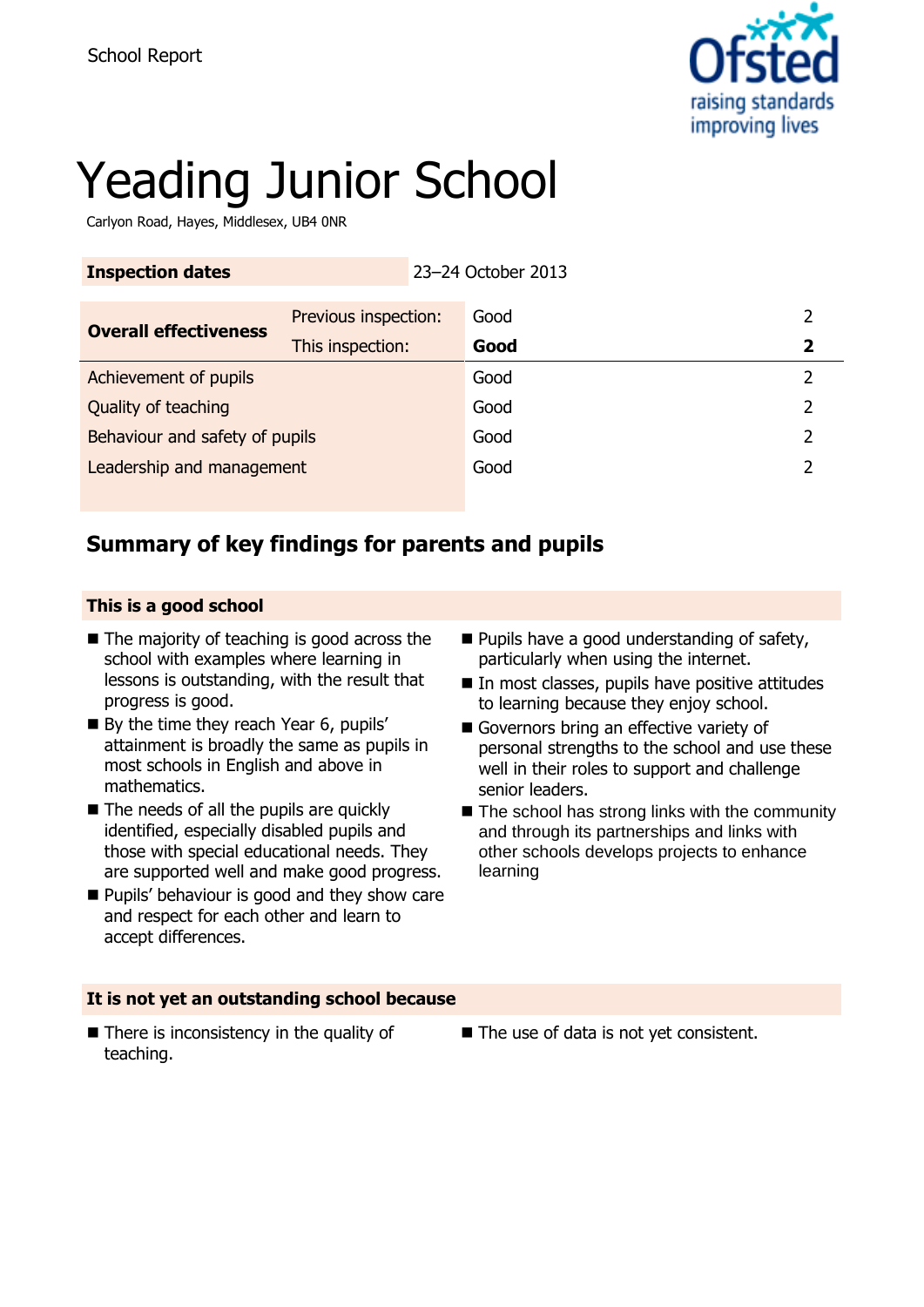

# Yeading Junior School

Carlyon Road, Hayes, Middlesex, UB4 0NR

| <b>Inspection dates</b>        |                      | 23-24 October 2013 |      |   |
|--------------------------------|----------------------|--------------------|------|---|
| <b>Overall effectiveness</b>   | Previous inspection: |                    | Good | 2 |
|                                | This inspection:     |                    | Good | 2 |
| Achievement of pupils          |                      |                    | Good | 2 |
| Quality of teaching            |                      |                    | Good | 2 |
| Behaviour and safety of pupils |                      |                    | Good | フ |
| Leadership and management      |                      |                    | Good |   |
|                                |                      |                    |      |   |

# **Summary of key findings for parents and pupils**

### **This is a good school**

- The majority of teaching is good across the school with examples where learning in lessons is outstanding, with the result that progress is good.
- By the time they reach Year 6, pupils' attainment is broadly the same as pupils in most schools in English and above in mathematics.
- The needs of all the pupils are quickly identified, especially disabled pupils and those with special educational needs. They are supported well and make good progress.
- **Pupils' behaviour is good and they show care** and respect for each other and learn to accept differences.
- **Pupils have a good understanding of safety,** particularly when using the internet.
- In most classes, pupils have positive attitudes to learning because they enjoy school.
- Governors bring an effective variety of personal strengths to the school and use these well in their roles to support and challenge senior leaders.
- The school has strong links with the community and through its partnerships and links with other schools develops projects to enhance learning

### **It is not yet an outstanding school because**

- $\blacksquare$  There is inconsistency in the quality of teaching.
- The use of data is not yet consistent.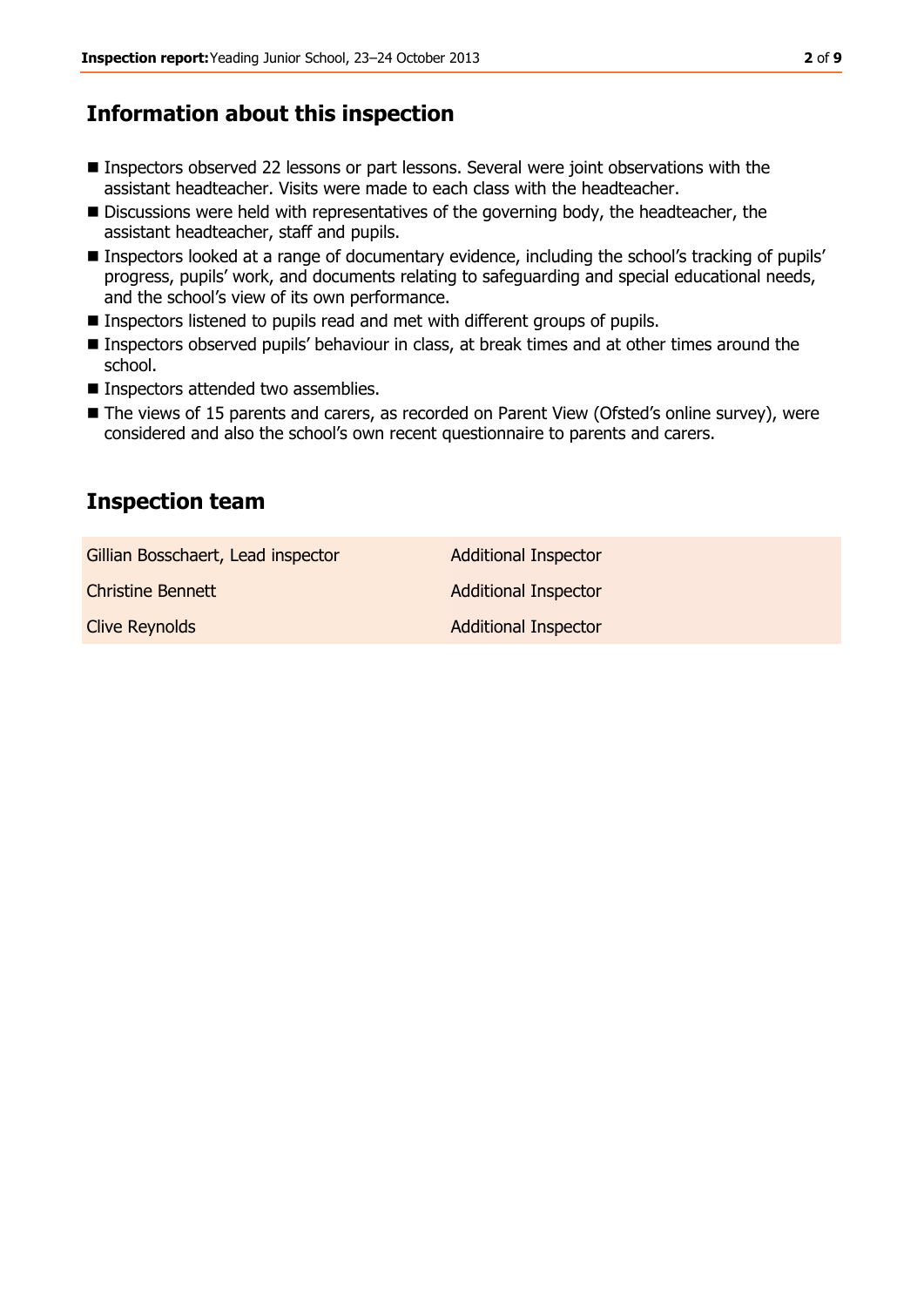# **Information about this inspection**

- Inspectors observed 22 lessons or part lessons. Several were joint observations with the assistant headteacher. Visits were made to each class with the headteacher.
- Discussions were held with representatives of the governing body, the headteacher, the assistant headteacher, staff and pupils.
- Inspectors looked at a range of documentary evidence, including the school's tracking of pupils' progress, pupils' work, and documents relating to safeguarding and special educational needs, and the school's view of its own performance.
- Inspectors listened to pupils read and met with different groups of pupils.
- Inspectors observed pupils' behaviour in class, at break times and at other times around the school.
- Inspectors attended two assemblies.
- The views of 15 parents and carers, as recorded on Parent View (Ofsted's online survey), were considered and also the school's own recent questionnaire to parents and carers.

## **Inspection team**

| Gillian Bosschaert, Lead inspector | <b>Additional Inspector</b> |
|------------------------------------|-----------------------------|
| <b>Christine Bennett</b>           | <b>Additional Inspector</b> |
| <b>Clive Reynolds</b>              | <b>Additional Inspector</b> |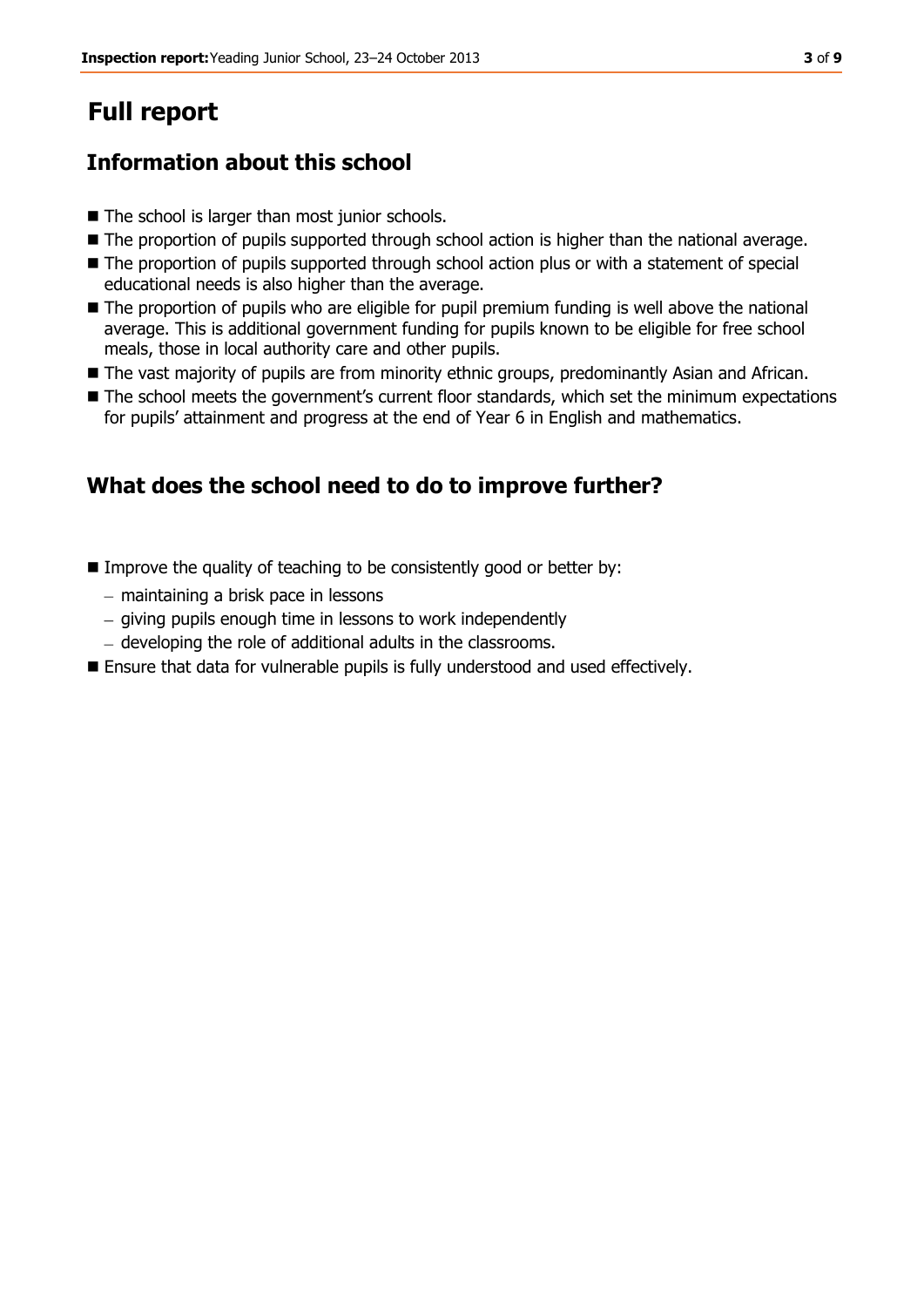# **Full report**

# **Information about this school**

- The school is larger than most junior schools.
- The proportion of pupils supported through school action is higher than the national average.
- The proportion of pupils supported through school action plus or with a statement of special educational needs is also higher than the average.
- $\blacksquare$  The proportion of pupils who are eligible for pupil premium funding is well above the national average. This is additional government funding for pupils known to be eligible for free school meals, those in local authority care and other pupils.
- The vast majority of pupils are from minority ethnic groups, predominantly Asian and African.
- The school meets the government's current floor standards, which set the minimum expectations for pupils' attainment and progress at the end of Year 6 in English and mathematics.

# **What does the school need to do to improve further?**

- $\blacksquare$  Improve the quality of teaching to be consistently good or better by:
	- $-$  maintaining a brisk pace in lessons
	- giving pupils enough time in lessons to work independently
	- developing the role of additional adults in the classrooms.
- Ensure that data for vulnerable pupils is fully understood and used effectively.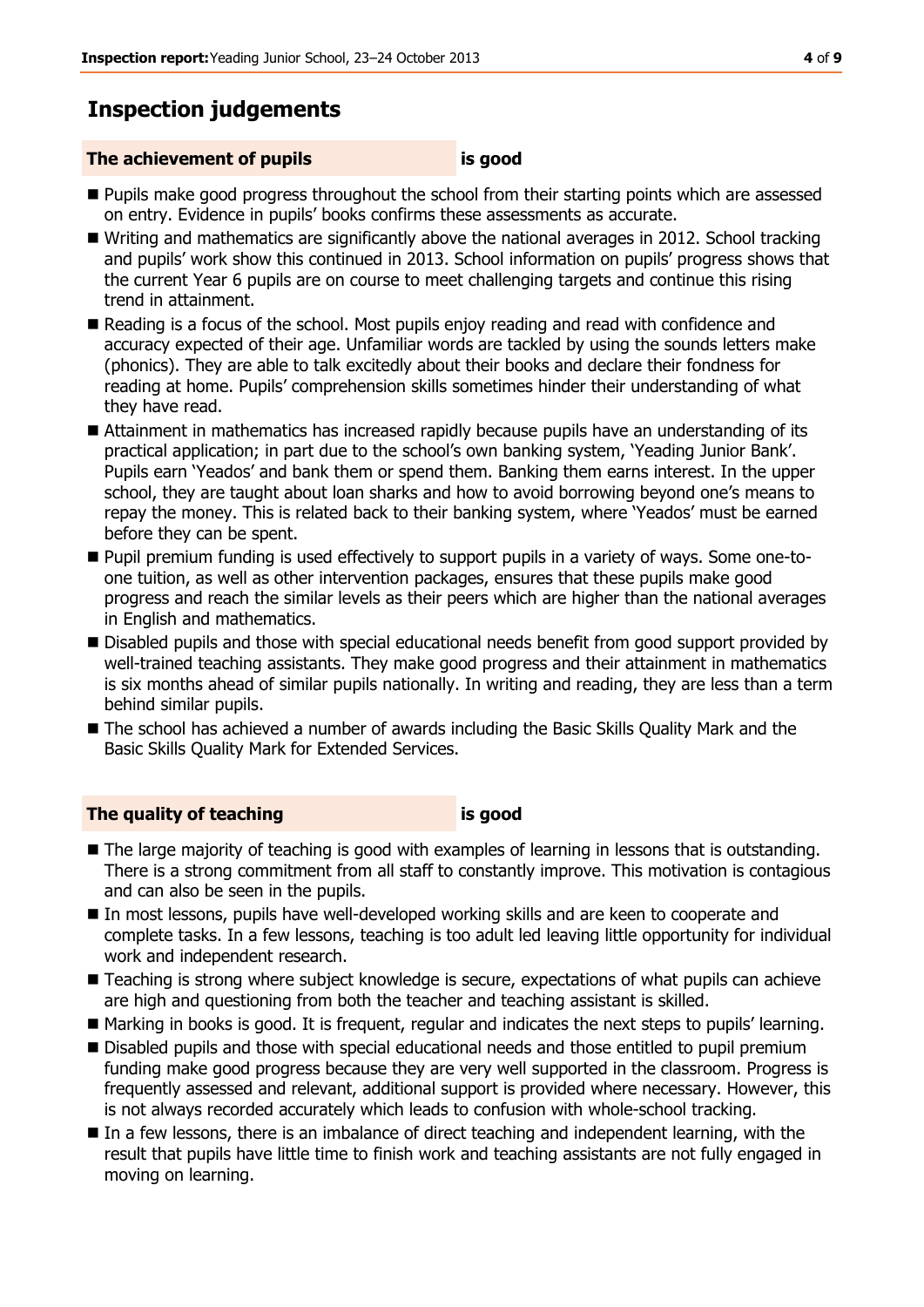# **Inspection judgements**

### **The achievement of pupils is good**

- **Pupils make good progress throughout the school from their starting points which are assessed** on entry. Evidence in pupils' books confirms these assessments as accurate.
- Writing and mathematics are significantly above the national averages in 2012. School tracking and pupils' work show this continued in 2013. School information on pupils' progress shows that the current Year 6 pupils are on course to meet challenging targets and continue this rising trend in attainment.
- Reading is a focus of the school. Most pupils enjoy reading and read with confidence and accuracy expected of their age. Unfamiliar words are tackled by using the sounds letters make (phonics). They are able to talk excitedly about their books and declare their fondness for reading at home. Pupils' comprehension skills sometimes hinder their understanding of what they have read.
- Attainment in mathematics has increased rapidly because pupils have an understanding of its practical application; in part due to the school's own banking system, 'Yeading Junior Bank'. Pupils earn 'Yeados' and bank them or spend them. Banking them earns interest. In the upper school, they are taught about loan sharks and how to avoid borrowing beyond one's means to repay the money. This is related back to their banking system, where 'Yeados' must be earned before they can be spent.
- Pupil premium funding is used effectively to support pupils in a variety of ways. Some one-toone tuition, as well as other intervention packages, ensures that these pupils make good progress and reach the similar levels as their peers which are higher than the national averages in English and mathematics.
- **Disabled pupils and those with special educational needs benefit from good support provided by** well-trained teaching assistants. They make good progress and their attainment in mathematics is six months ahead of similar pupils nationally. In writing and reading, they are less than a term behind similar pupils.
- The school has achieved a number of awards including the Basic Skills Quality Mark and the Basic Skills Quality Mark for Extended Services.

#### **The quality of teaching is good**

- The large majority of teaching is good with examples of learning in lessons that is outstanding. There is a strong commitment from all staff to constantly improve. This motivation is contagious and can also be seen in the pupils.
- In most lessons, pupils have well-developed working skills and are keen to cooperate and complete tasks. In a few lessons, teaching is too adult led leaving little opportunity for individual work and independent research.
- Teaching is strong where subject knowledge is secure, expectations of what pupils can achieve are high and questioning from both the teacher and teaching assistant is skilled.
- Marking in books is good. It is frequent, regular and indicates the next steps to pupils' learning.
- Disabled pupils and those with special educational needs and those entitled to pupil premium funding make good progress because they are very well supported in the classroom. Progress is frequently assessed and relevant, additional support is provided where necessary. However, this is not always recorded accurately which leads to confusion with whole-school tracking.
- In a few lessons, there is an imbalance of direct teaching and independent learning, with the result that pupils have little time to finish work and teaching assistants are not fully engaged in moving on learning.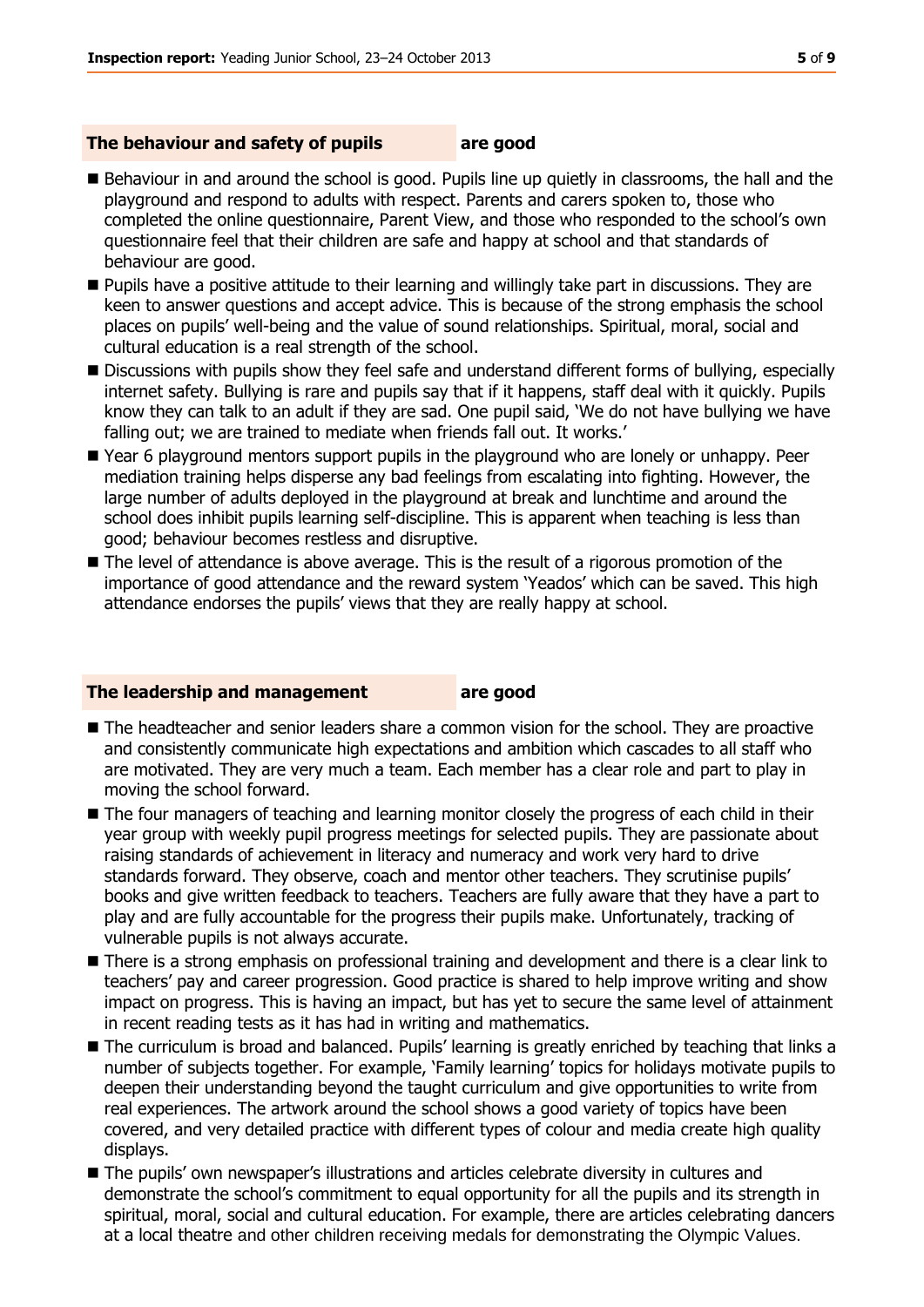#### **The behaviour and safety of pupils are good**

- Behaviour in and around the school is good. Pupils line up quietly in classrooms, the hall and the playground and respond to adults with respect. Parents and carers spoken to, those who completed the online questionnaire, Parent View, and those who responded to the school's own questionnaire feel that their children are safe and happy at school and that standards of behaviour are good.
- Pupils have a positive attitude to their learning and willingly take part in discussions. They are keen to answer questions and accept advice. This is because of the strong emphasis the school places on pupils' well-being and the value of sound relationships. Spiritual, moral, social and cultural education is a real strength of the school.
- **Discussions with pupils show they feel safe and understand different forms of bullying, especially** internet safety. Bullying is rare and pupils say that if it happens, staff deal with it quickly. Pupils know they can talk to an adult if they are sad. One pupil said, 'We do not have bullying we have falling out; we are trained to mediate when friends fall out. It works.'
- Year 6 playground mentors support pupils in the playground who are lonely or unhappy. Peer mediation training helps disperse any bad feelings from escalating into fighting. However, the large number of adults deployed in the playground at break and lunchtime and around the school does inhibit pupils learning self-discipline. This is apparent when teaching is less than good; behaviour becomes restless and disruptive.
- The level of attendance is above average. This is the result of a rigorous promotion of the importance of good attendance and the reward system 'Yeados' which can be saved. This high attendance endorses the pupils' views that they are really happy at school.

#### **The leadership and management are good**

- $\blacksquare$  The headteacher and senior leaders share a common vision for the school. They are proactive and consistently communicate high expectations and ambition which cascades to all staff who are motivated. They are very much a team. Each member has a clear role and part to play in moving the school forward.
- **The four managers of teaching and learning monitor closely the progress of each child in their** year group with weekly pupil progress meetings for selected pupils. They are passionate about raising standards of achievement in literacy and numeracy and work very hard to drive standards forward. They observe, coach and mentor other teachers. They scrutinise pupils' books and give written feedback to teachers. Teachers are fully aware that they have a part to play and are fully accountable for the progress their pupils make. Unfortunately, tracking of vulnerable pupils is not always accurate.
- There is a strong emphasis on professional training and development and there is a clear link to teachers' pay and career progression. Good practice is shared to help improve writing and show impact on progress. This is having an impact, but has yet to secure the same level of attainment in recent reading tests as it has had in writing and mathematics.
- The curriculum is broad and balanced. Pupils' learning is greatly enriched by teaching that links a number of subjects together. For example, 'Family learning' topics for holidays motivate pupils to deepen their understanding beyond the taught curriculum and give opportunities to write from real experiences. The artwork around the school shows a good variety of topics have been covered, and very detailed practice with different types of colour and media create high quality displays.
- **The pupils' own newspaper's illustrations and articles celebrate diversity in cultures and** demonstrate the school's commitment to equal opportunity for all the pupils and its strength in spiritual, moral, social and cultural education. For example, there are articles celebrating dancers at a local theatre and other children receiving medals for demonstrating the Olympic Values.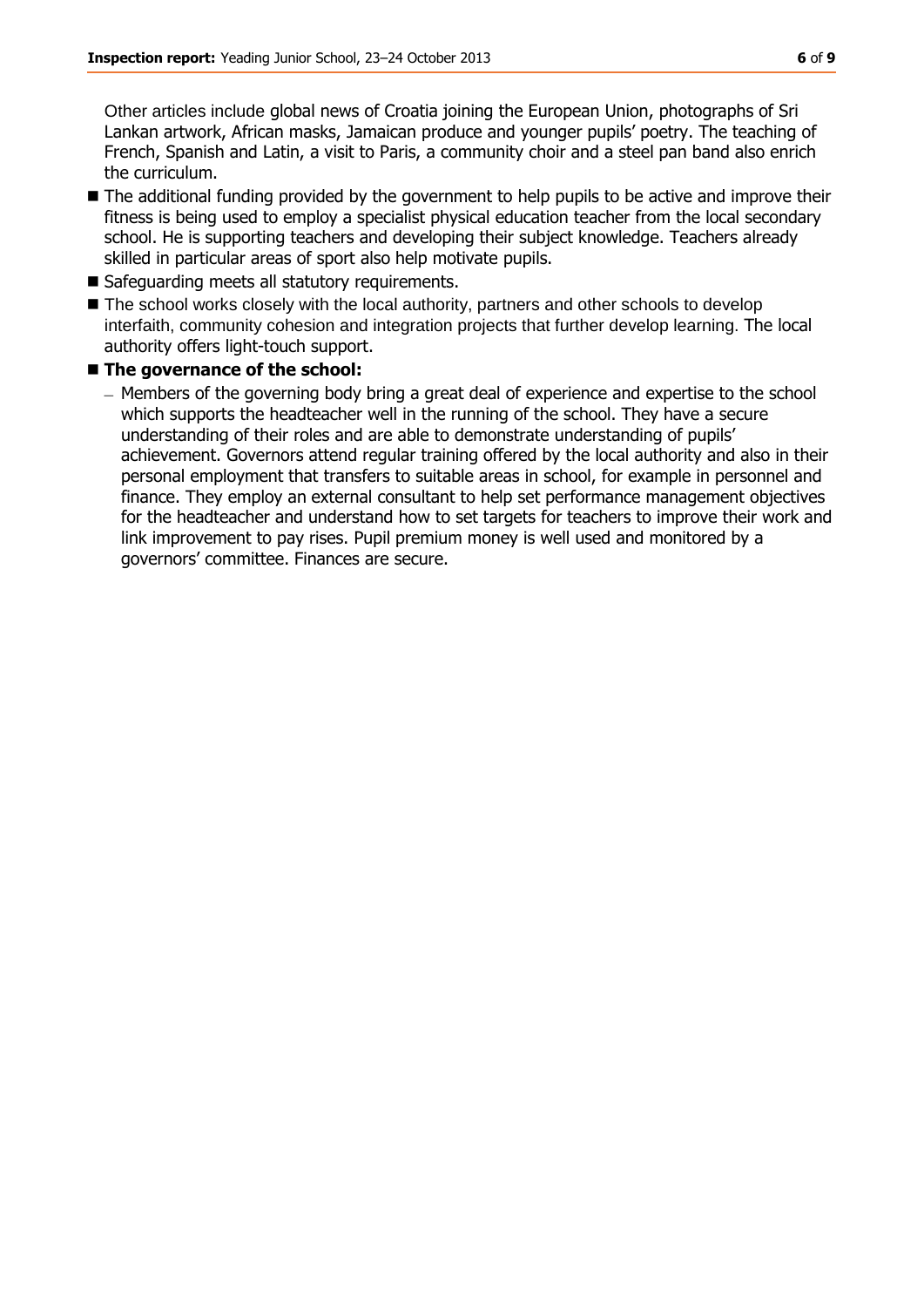Other articles include global news of Croatia joining the European Union, photographs of Sri Lankan artwork, African masks, Jamaican produce and younger pupils' poetry. The teaching of French, Spanish and Latin, a visit to Paris, a community choir and a steel pan band also enrich the curriculum.

- The additional funding provided by the government to help pupils to be active and improve their fitness is being used to employ a specialist physical education teacher from the local secondary school. He is supporting teachers and developing their subject knowledge. Teachers already skilled in particular areas of sport also help motivate pupils.
- Safeguarding meets all statutory requirements.
- The school works closely with the local authority, partners and other schools to develop interfaith, community cohesion and integration projects that further develop learning. The local authority offers light-touch support.

### $\blacksquare$  The governance of the school:

– Members of the governing body bring a great deal of experience and expertise to the school which supports the headteacher well in the running of the school. They have a secure understanding of their roles and are able to demonstrate understanding of pupils' achievement. Governors attend regular training offered by the local authority and also in their personal employment that transfers to suitable areas in school, for example in personnel and finance. They employ an external consultant to help set performance management objectives for the headteacher and understand how to set targets for teachers to improve their work and link improvement to pay rises. Pupil premium money is well used and monitored by a governors' committee. Finances are secure.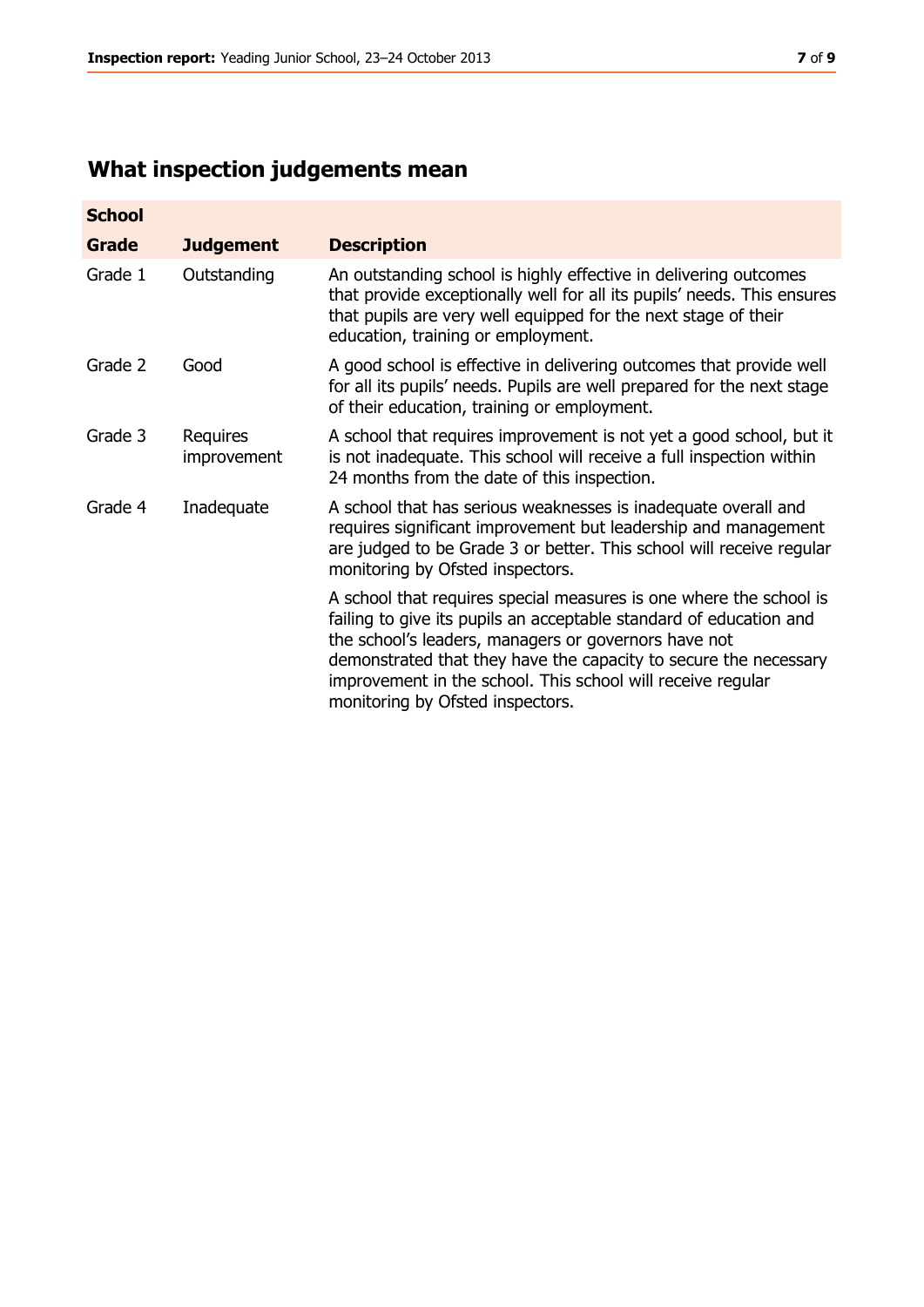# **What inspection judgements mean**

| <b>School</b> |                         |                                                                                                                                                                                                                                                                                                                                                                         |
|---------------|-------------------------|-------------------------------------------------------------------------------------------------------------------------------------------------------------------------------------------------------------------------------------------------------------------------------------------------------------------------------------------------------------------------|
| <b>Grade</b>  | <b>Judgement</b>        | <b>Description</b>                                                                                                                                                                                                                                                                                                                                                      |
| Grade 1       | Outstanding             | An outstanding school is highly effective in delivering outcomes<br>that provide exceptionally well for all its pupils' needs. This ensures<br>that pupils are very well equipped for the next stage of their<br>education, training or employment.                                                                                                                     |
| Grade 2       | Good                    | A good school is effective in delivering outcomes that provide well<br>for all its pupils' needs. Pupils are well prepared for the next stage<br>of their education, training or employment.                                                                                                                                                                            |
| Grade 3       | Requires<br>improvement | A school that requires improvement is not yet a good school, but it<br>is not inadequate. This school will receive a full inspection within<br>24 months from the date of this inspection.                                                                                                                                                                              |
| Grade 4       | Inadequate              | A school that has serious weaknesses is inadequate overall and<br>requires significant improvement but leadership and management<br>are judged to be Grade 3 or better. This school will receive regular<br>monitoring by Ofsted inspectors.                                                                                                                            |
|               |                         | A school that requires special measures is one where the school is<br>failing to give its pupils an acceptable standard of education and<br>the school's leaders, managers or governors have not<br>demonstrated that they have the capacity to secure the necessary<br>improvement in the school. This school will receive regular<br>monitoring by Ofsted inspectors. |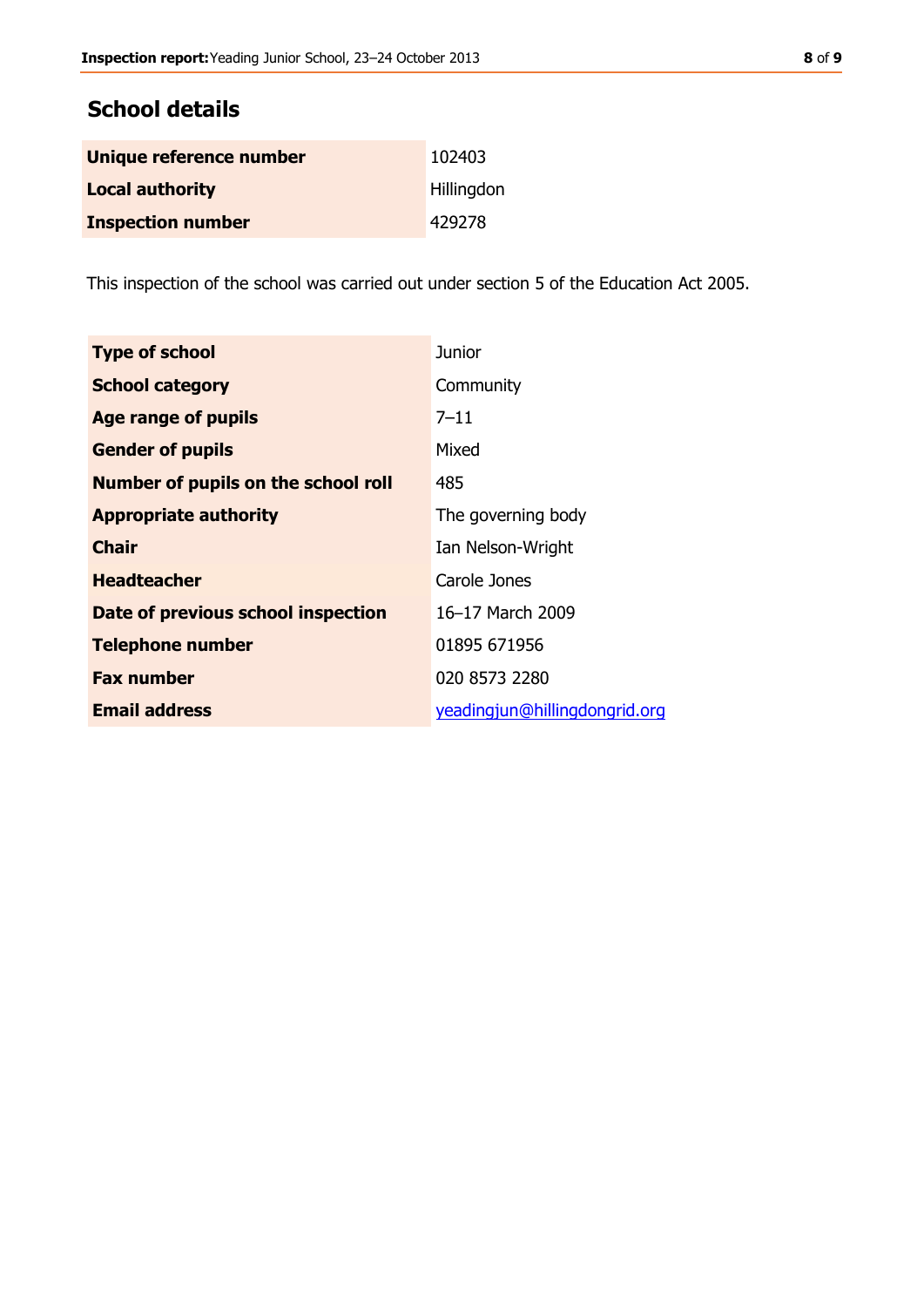# **School details**

| Unique reference number  | 102403     |
|--------------------------|------------|
| <b>Local authority</b>   | Hillingdon |
| <b>Inspection number</b> | 429278     |

This inspection of the school was carried out under section 5 of the Education Act 2005.

| <b>Type of school</b>                      | <b>Junior</b>                 |
|--------------------------------------------|-------------------------------|
| <b>School category</b>                     | Community                     |
| <b>Age range of pupils</b>                 | $7 - 11$                      |
| <b>Gender of pupils</b>                    | Mixed                         |
| <b>Number of pupils on the school roll</b> | 485                           |
| <b>Appropriate authority</b>               | The governing body            |
| <b>Chair</b>                               | Ian Nelson-Wright             |
| <b>Headteacher</b>                         | Carole Jones                  |
| Date of previous school inspection         | 16-17 March 2009              |
| <b>Telephone number</b>                    | 01895 671956                  |
| <b>Fax number</b>                          | 020 8573 2280                 |
| <b>Email address</b>                       | yeadingjun@hillingdongrid.org |